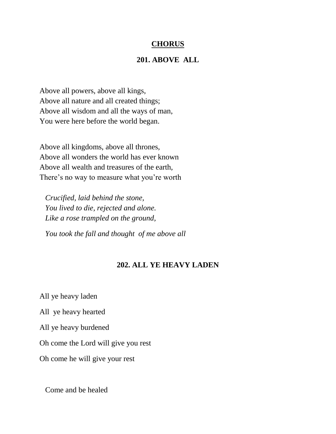### **CHORUS**

#### **201. ABOVE ALL**

Above all powers, above all kings, Above all nature and all created things; Above all wisdom and all the ways of man, You were here before the world began.

Above all kingdoms, above all thrones, Above all wonders the world has ever known Above all wealth and treasures of the earth, There's no way to measure what you're worth

 *Crucified, laid behind the stone, You lived to die, rejected and alone. Like a rose trampled on the ground,*

 *You took the fall and thought of me above all*

#### **202. ALL YE HEAVY LADEN**

All ye heavy laden All ye heavy hearted All ye heavy burdened Oh come the Lord will give you rest Oh come he will give your rest

Come and be healed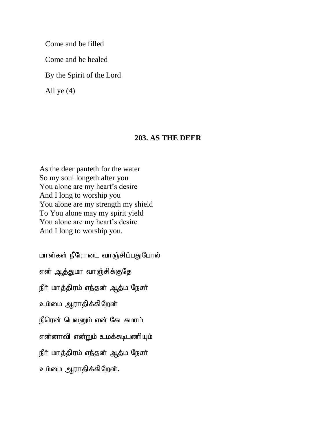Come and be filled Come and be healed

By the Spirit of the Lord

All ye  $(4)$ 

# **203. AS THE DEER**

As the deer panteth for the water So my soul longeth after you You alone are my heart's desire And I long to worship you You alone are my strength my shield To You alone may my spirit yield You alone are my heart's desire And I long to worship you.

மான்கள் நீரோடை வாஞ்சிப்பதுபோல்

என் ஆத்துமா வாஞ்சிக்குதே

நீா் மாத்திரம் எந்தன் ஆத்ம நேசா்

உம்மை ஆராதிக்கிறேன்

நீரென் பெலனும் என் கேடகமாம்

என்னாவி என்றும் உமக்கடிபணியும்

நீர் மாத்திரம் எந்தன் ஆத்ம நேசர்

உம்மை ஆராதிக்கிறேன்.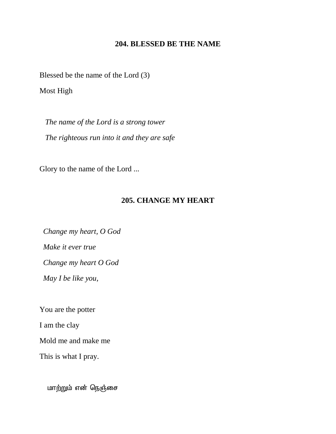### **204. BLESSED BE THE NAME**

Blessed be the name of the Lord (3)

Most High

 *The name of the Lord is a strong tower The righteous run into it and they are safe*

Glory to the name of the Lord ...

### **205. CHANGE MY HEART**

*Change my heart, O God Make it ever true Change my heart O God May I be like you,*

You are the potter

I am the clay

Mold me and make me

This is what I pray.

மாற்றும் என் நெஞ்சை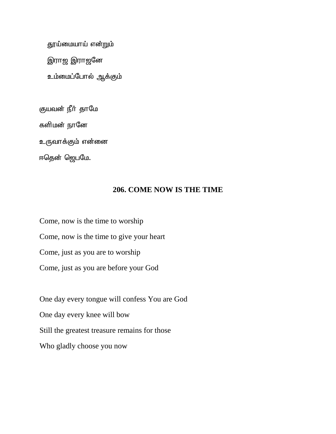தூய்மையாய் என்றும் இராஜ இராஜனே உம்மைப்போல் ஆக்கும்

குயவன் நீா் தாமே களிமன் நானே உருவாக்கும் என்னை ஈதென் ஜெபமே.

# **206. COME NOW IS THE TIME**

Come, now is the time to worship Come, now is the time to give your heart Come, just as you are to worship Come, just as you are before your God

One day every tongue will confess You are God One day every knee will bow Still the greatest treasure remains for those Who gladly choose you now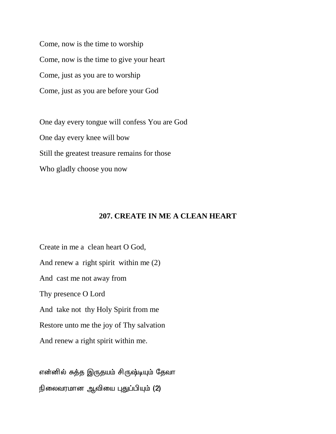Come, now is the time to worship Come, now is the time to give your heart Come, just as you are to worship Come, just as you are before your God

One day every tongue will confess You are God One day every knee will bow Still the greatest treasure remains for those Who gladly choose you now

### **207. CREATE IN ME A CLEAN HEART**

Create in me a clean heart O God, And renew a right spirit within me (2) And cast me not away from Thy presence O Lord And take not thy Holy Spirit from me Restore unto me the joy of Thy salvation And renew a right spirit within me.

என்னில் சுத்த இருதயம் சிருஷ்டியும் தேவா நிலைவரமான ஆவியை புதுப்பியும் (2)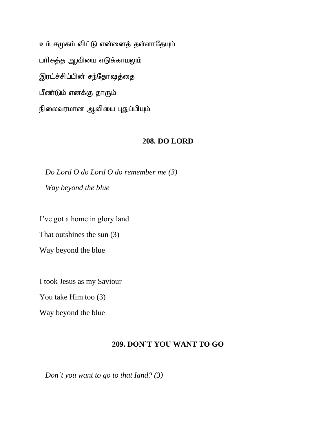உம் சமுகம் விட்டு என்னைத் தள்ளாதேயும் பரிசுத்த ஆவியை எடுக்காமலும் இரட்ச்சிப்பின் சந்தோஷத்தை மீண்டும் எனக்கு தாரும் நிலைவரமான ஆவியை புதுப்பியும்

### **208. DO LORD**

 *Do Lord O do Lord O do remember me (3) Way beyond the blue*

I've got a home in glory land

That outshines the sun (3)

Way beyond the blue

I took Jesus as my Saviour

You take Him too (3)

Way beyond the blue

# **209. DON`T YOU WANT TO GO**

 *Don`t you want to go to that Iand? (3)*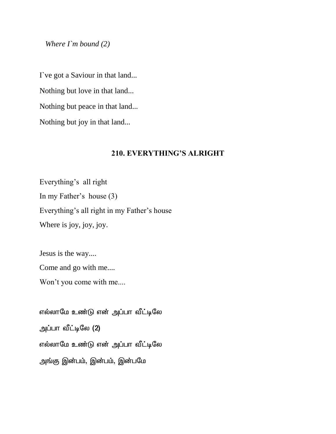*Where I`m bound (2)*

I`ve got a Saviour in that land... Nothing but love in that land... Nothing but peace in that land... Nothing but joy in that land...

### **210. EVERYTHING'S ALRIGHT**

Everything's all right In my Father's house (3) Everything's all right in my Father's house Where is joy, joy, joy.

Jesus is the way.... Come and go with me.... Won't you come with me....

எல்லாமே உண்டு என் அப்பா வீட்டிலே அப்பா வீட்டிலே (2) எல்லாமே உண்டு என் அப்பா வீட்டிலே அங்கு இன்பம், இன்பம், இன்பமே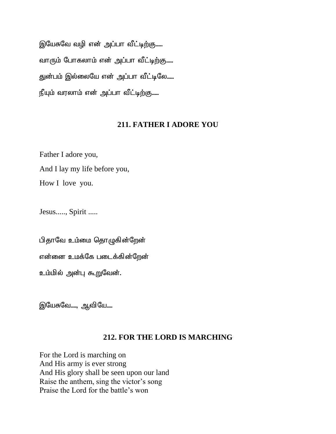இயேசுவே வழி என் அப்பா வீட்டிற்கு..... வாரும் போகலாம் என் அப்பா வீட்டிற்கு..... துன்பம் இல்லையே என் அப்பா வீட்டிலே..... நீயும் வரலாம் என் அப்பா வீட்டிற்கு.....

# **211. FATHER I ADORE YOU**

Father I adore you, And I lay my life before you, How I love you.

Jesus....., Spirit .....

பிதாவே உம்மை தொழுகின்றேன் என்னை உமக்கே படைக்கின்றேன்

உம்மில் அன்பு கூறுவேன்.

இயேசுவே...., ஆவியே....

# **212. FOR THE LORD IS MARCHING**

For the Lord is marching on And His army is ever strong And His glory shall be seen upon our land Raise the anthem, sing the victor's song Praise the Lord for the battle's won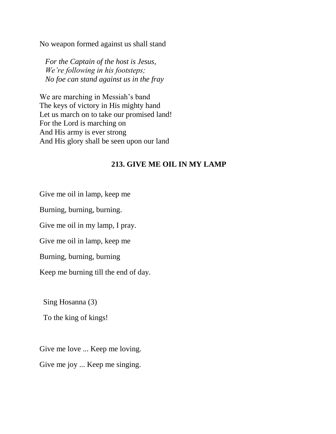No weapon formed against us shall stand

 *For the Captain of the host is Jesus, We're following in his footsteps; No foe can stand against us in the fray*

We are marching in Messiah's band The keys of victory in His mighty hand Let us march on to take our promised land! For the Lord is marching on And His army is ever strong And His glory shall be seen upon our land

### **213. GIVE ME OIL IN MY LAMP**

Give me oil in lamp, keep me

Burning, burning, burning.

Give me oil in my lamp, I pray.

Give me oil in lamp, keep me

Burning, burning, burning

Keep me burning till the end of day.

Sing Hosanna (3)

To the king of kings!

Give me love ... Keep me loving.

Give me joy ... Keep me singing.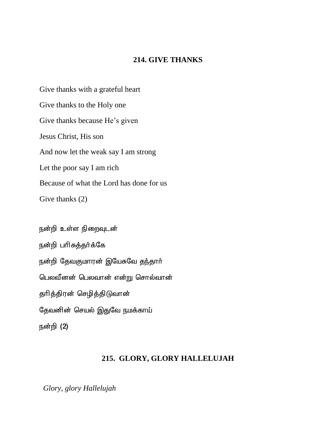### **214. GIVE THANKS**

Give thanks with a grateful heart Give thanks to the Holy one Give thanks because He's given Jesus Christ, His son And now let the weak say I am strong Let the poor say I am rich Because of what the Lord has done for us Give thanks (2)

 $B$ ன்றி உள்ள நிறைவுடன் நன்றி பரிசுத்தர்க்கே நன்றி தேவகுமாரன் இயேசுவே தந்தார் பெலவீனன் பெலவான் என்று சொல்வான் தரித்திரன் செழித்திடுவான் தேவனின் செயல் இதுவே நமக்காய் நன்றி $(2)$ 

# **215. GLORY, GLORY HALLELUJAH**

*Glory, glory Hallelujah*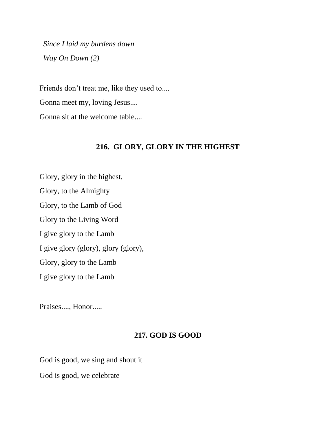*Since I laid my burdens down Way On Down (2)*

Friends don't treat me, like they used to.... Gonna meet my, loving Jesus.... Gonna sit at the welcome table....

### **216. GLORY, GLORY IN THE HIGHEST**

Glory, glory in the highest, Glory, to the Almighty Glory, to the Lamb of God Glory to the Living Word I give glory to the Lamb I give glory (glory), glory (glory), Glory, glory to the Lamb I give glory to the Lamb

Praises...., Honor.....

# **217. GOD IS GOOD**

God is good, we sing and shout it

God is good, we celebrate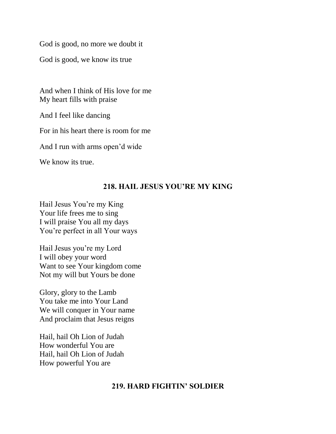God is good, no more we doubt it

God is good, we know its true

And when I think of His love for me My heart fills with praise

And I feel like dancing

For in his heart there is room for me

And I run with arms open'd wide

We know its true.

# **218. HAIL JESUS YOU'RE MY KING**

Hail Jesus You're my King Your life frees me to sing I will praise You all my days You're perfect in all Your ways

Hail Jesus you're my Lord I will obey your word Want to see Your kingdom come Not my will but Yours be done

Glory, glory to the Lamb You take me into Your Land We will conquer in Your name And proclaim that Jesus reigns

Hail, hail Oh Lion of Judah How wonderful You are Hail, hail Oh Lion of Judah How powerful You are

# **219. HARD FIGHTIN' SOLDIER**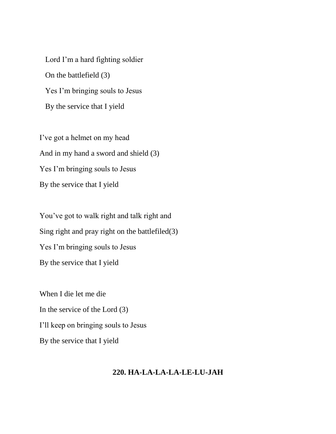Lord I'm a hard fighting soldier On the battlefield (3) Yes I'm bringing souls to Jesus By the service that I yield

I've got a helmet on my head And in my hand a sword and shield (3) Yes I'm bringing souls to Jesus By the service that I yield

You've got to walk right and talk right and Sing right and pray right on the battlefiled(3) Yes I'm bringing souls to Jesus By the service that I yield

When I die let me die In the service of the Lord (3) I'll keep on bringing souls to Jesus By the service that I yield

#### **220. HA-LA-LA-LA-LE-LU-JAH**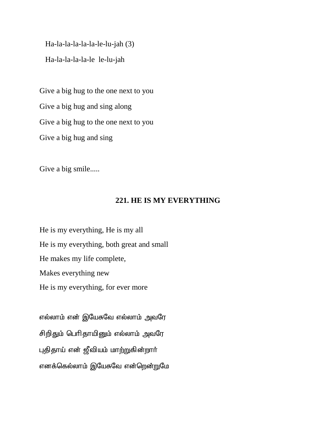Ha-la-la-la-la-la-le-lu-jah (3) Ha-la-la-la-la-le le-lu-jah

Give a big hug to the one next to you Give a big hug and sing along Give a big hug to the one next to you Give a big hug and sing

Give a big smile.....

### **221. HE IS MY EVERYTHING**

He is my everything, He is my all He is my everything, both great and small He makes my life complete, Makes everything new He is my everything, for ever more

எல்லாம் என் இயேசுவே எல்லாம் அவரே சிறிதும் பெரிதாயினும் எல்லாம் அவரே புதிதாய் என் ஜீவியம் மாற்றுகின்றார் எனக்கெல்லாம் இயேசுவே என்றென்றுமே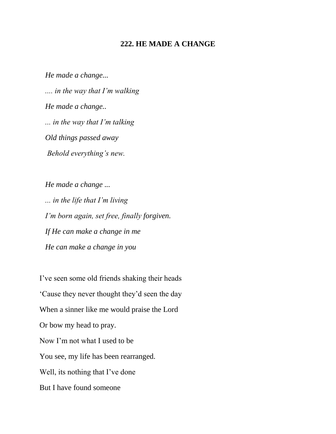#### **222. HE MADE A CHANGE**

 *He made a change... .... in the way that I'm walking He made a change.. ... in the way that I'm talking Old things passed away Behold everything's new.*

 *He made a change ... ... in the life that I'm living I'm born again, set free, finally forgiven. If He can make a change in me He can make a change in you*

I've seen some old friends shaking their heads 'Cause they never thought they'd seen the day When a sinner like me would praise the Lord Or bow my head to pray. Now I'm not what I used to be You see, my life has been rearranged. Well, its nothing that I've done But I have found someone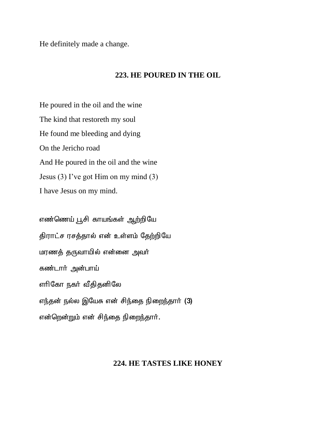He definitely made a change.

# **223. HE POURED IN THE OIL**

He poured in the oil and the wine The kind that restoreth my soul He found me bleeding and dying On the Jericho road And He poured in the oil and the wine Jesus (3) I've got Him on my mind (3) I have Jesus on my mind.

எண்ணெய் பூசி காயங்கள் ஆற்றியே திராட்ச ரசத்தால் என் உள்ளம் தேற்றியே மரணத் தருவாயில் என்னை அவர் கண்டார் அன்பாய் எரிகோ நகர் வீதிதனிலே  $\sigma$ ந்தன் நல்ல இயேசு என் சிந்தை நிறைந்தார் (3) என்றென்றும் என் சிந்தை நிறைந்தார்.

### **224. HE TASTES LIKE HONEY**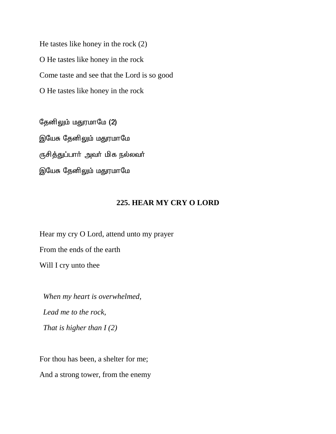He tastes like honey in the rock (2) O He tastes like honey in the rock Come taste and see that the Lord is so good O He tastes like honey in the rock

தேனிலும் மதுரமாமே (2) இயேசு தேனிலும் மதுரமாமே ருசித்துப்பார் அவர் மிக நல்லவர் இயேசு தேனிலும் மதுரமாமே

# **225. HEAR MY CRY O LORD**

Hear my cry O Lord, attend unto my prayer From the ends of the earth Will I cry unto thee

*When my heart is overwhelmed, Lead me to the rock, That is higher than I (2)* 

For thou has been, a shelter for me; And a strong tower, from the enemy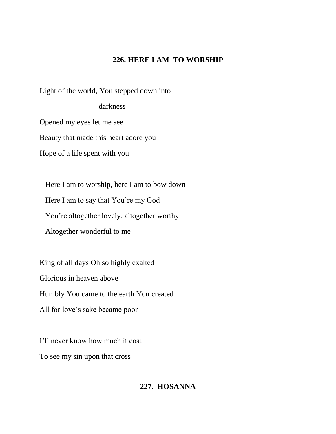# **226. HERE I AM TO WORSHIP**

Light of the world, You stepped down into

darkness

Opened my eyes let me see Beauty that made this heart adore you Hope of a life spent with you

 Here I am to worship, here I am to bow down Here I am to say that You're my God You're altogether lovely, altogether worthy Altogether wonderful to me

King of all days Oh so highly exalted Glorious in heaven above Humbly You came to the earth You created All for love's sake became poor

I'll never know how much it cost To see my sin upon that cross

# **227. HOSANNA**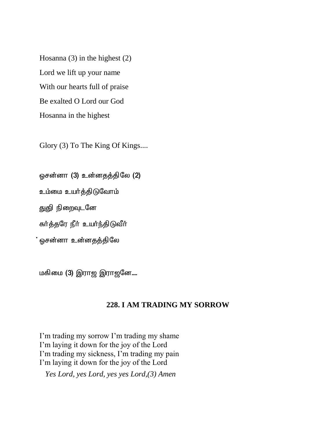Hosanna (3) in the highest (2) Lord we lift up your name With our hearts full of praise Be exalted O Lord our God Hosanna in the highest

Glory (3) To The King Of Kings....

ஓசன்னா (3) உன்னதத்திலே (2)

உம்மை உயர்த்திடுவோம்

துதி நிறைவுடனே

கர்த்தரே நீர் உயர்ந்திடுவீர்

ஓசன்னா உன்னதத்திலே

 $u$ கிமை (3) இராஜ இராஜனே....

### **228. I AM TRADING MY SORROW**

I'm trading my sorrow I'm trading my shame I'm laying it down for the joy of the Lord I'm trading my sickness, I'm trading my pain I'm laying it down for the joy of the Lord

 *Yes Lord, yes Lord, yes yes Lord,(3) Amen*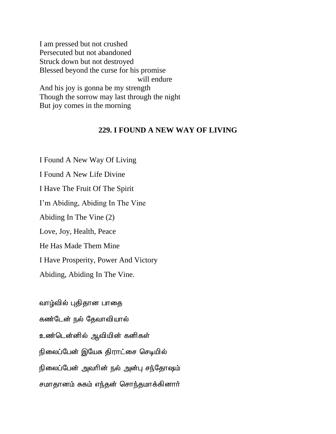I am pressed but not crushed Persecuted but not abandoned Struck down but not destroyed Blessed beyond the curse for his promise will endure And his joy is gonna be my strength Though the sorrow may last through the night But joy comes in the morning

### **229. I FOUND A NEW WAY OF LIVING**

I Found A New Way Of Living I Found A New Life Divine I Have The Fruit Of The Spirit I'm Abiding, Abiding In The Vine Abiding In The Vine (2) Love, Joy, Health, Peace He Has Made Them Mine I Have Prosperity, Power And Victory Abiding, Abiding In The Vine. வாழ்வில் புதிதான பாதை கண்டேன் நல் தேவாவியால் உண்டென்னில் ஆவியின் கனிகள் நிலைப்பேன் இயேசு திராட்சை செடியில் நிலைப்பேன் அவரின் நல் அன்பு சந்தோஷம்

சமாதானம் சுகம் எந்தன் சொந்தமாக்கினார்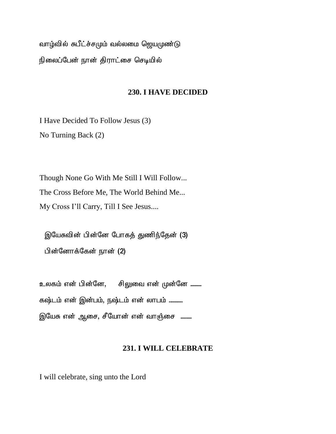வாழ்வில் சுபீட்ச்சமும் வல்லமை ஜெயமுண்டு நிலைப்பேன் நான் திராட்சை செடியில்

### **230. I HAVE DECIDED**

I Have Decided To Follow Jesus (3) No Turning Back (2)

Though None Go With Me Still I Will Follow... The Cross Before Me, The World Behind Me... My Cross I'll Carry, Till I See Jesus....

இயேசுவின் பின்னே போகத் துணிந்தேன் (3) பின்னோக்கேன் நான் (2)

உலகம் என் பின்னே, சிலுவை என் முன்னே ........ கஷ்டம் என் இன்பம், நஷ்டம் என் லாபம் .......... இயேசு என் ஆசை, சீயோன் என் வாஞ்சை ........

# **231. I WILL CELEBRATE**

I will celebrate, sing unto the Lord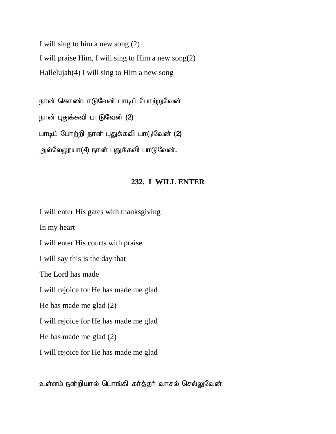I will sing to him a new song (2) I will praise Him, I will sing to Him a new song(2) Hallelujah(4) I will sing to Him a new song

நான் கொண்டாடுவேன் பாடிப் போற்றுவேன் நான் புதுக்கவி பாடுவேன் (2) பாடிப் போற்றி நான் புதுக்கவி பாடுவேன் (2) அல்லேலூயா(4) நான் புதுக்கவி பாடுவேன்.

### **232. I WILL ENTER**

I will enter His gates with thanksgiving

In my heart

I will enter His courts with praise

I will say this is the day that

The Lord has made

I will rejoice for He has made me glad

He has made me glad (2)

I will rejoice for He has made me glad

He has made me glad (2)

I will rejoice for He has made me glad

உள்ளம் நன்றியால் பொங்கி கர்த்தர் வாசல் செல்லுவேன்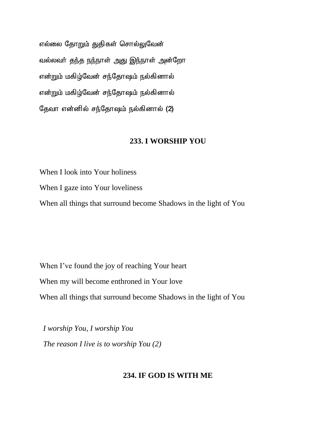எல்லை தோறும் துதிகள் சொல்லுவேன் வல்லவர் தந்த நந்நாள் அது இந்நாள் அன்றோ என்றும் மகிழ்வேன் சந்தோஷம் நல்கினால் என்றும் மகிழ்வேன் சந்தோஷம் நல்கினால் தேவா என்னில் சந்தோஷம் நல்கினால் (2)

#### **233. I WORSHIP YOU**

When I look into Your holiness When I gaze into Your loveliness When all things that surround become Shadows in the light of You

When I've found the joy of reaching Your heart When my will become enthroned in Your love

When all things that surround become Shadows in the light of You

*I worship You, I worship You The reason I live is to worship You (2)*

#### **234. IF GOD IS WITH ME**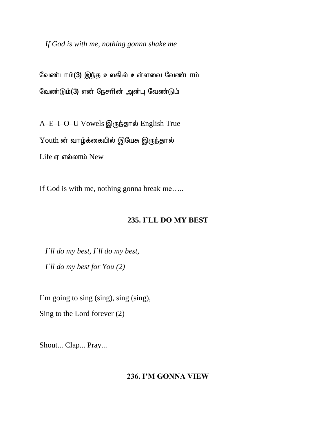*If God is with me, nothing gonna shake me* 

வேண்டாம்(3) இந்த உலகில் உள்ளவை வேண்டாம் வேண்டும்(3) என் நேசரின் அன்பு வேண்டும்

A–E–I–O–U Vowels இருந்தால் English True Youth ன் வாழ்க்கையில் இயேசு இருந்தால் Life எ எல்லாம் New

If God is with me, nothing gonna break me…..

### **235. I`LL DO MY BEST**

 *I`ll do my best, I`ll do my best, I`ll do my best for You (2)* 

 $\Gamma$ m going to sing (sing), sing (sing),

Sing to the Lord forever (2)

Shout... Clap... Pray...

# **236. I'M GONNA VIEW**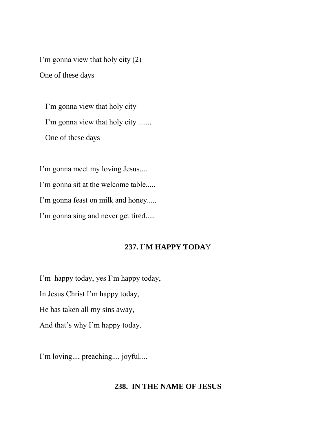I'm gonna view that holy city (2) One of these days

 I'm gonna view that holy city I'm gonna view that holy city ....... One of these days

I'm gonna meet my loving Jesus.... I'm gonna sit at the welcome table..... I'm gonna feast on milk and honey..... I'm gonna sing and never get tired.....

# **237. I`M HAPPY TODA**Y

I'm happy today, yes I'm happy today,

In Jesus Christ I'm happy today,

He has taken all my sins away,

And that's why I'm happy today.

I'm loving..., preaching..., joyful....

# **238. IN THE NAME OF JESUS**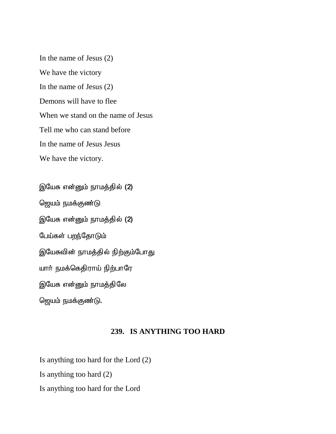In the name of Jesus (2) We have the victory In the name of Jesus (2) Demons will have to flee When we stand on the name of Jesus Tell me who can stand before In the name of Jesus Jesus We have the victory.

இயேசு என்னும் நாமத்தில் (2) ஜெயம் நமக்குண்டு இயேசு என்னும் நாமத்தில் (2) பேய்கள் பறந்தோடும் இயேசுவின் நாமத்தில் நிற்கும்போது யார் நமக்கெதிராய் நிற்பாரே இயேசு என்னும் நாமத்திலே ஜெயம் நமக்குண்டு.

#### **239. IS ANYTHING TOO HARD**

Is anything too hard for the Lord (2) Is anything too hard (2) Is anything too hard for the Lord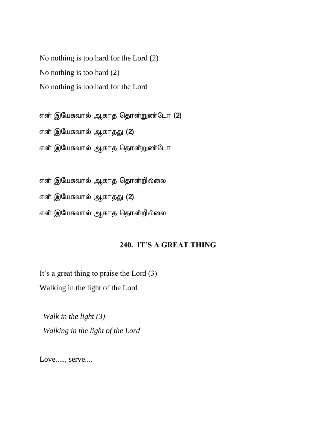No nothing is too hard for the Lord (2) No nothing is too hard (2) No nothing is too hard for the Lord

என் இயேசுவால் ஆகாத தொன்றுண்டோ $(2)$ என் இயேசுவால் ஆகாதது (2) என் இயேசுவால் ஆகாத தொன்றுண்டோ

என் இயேசுவால் ஆகாத தொன்றில்லை

என் இயேசுவால் ஆகாதது  $(2)$ 

என் இயேசுவால் ஆகாத தொன்றில்லை

# **240. IT'S A GREAT THING**

It's a great thing to praise the Lord (3)

Walking in the light of the Lord

*Walk in the light (3) Walking in the light of the Lord*

Love....., serve....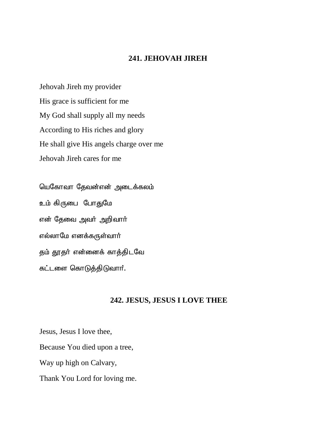#### **241. JEHOVAH JIREH**

Jehovah Jireh my provider His grace is sufficient for me My God shall supply all my needs According to His riches and glory He shall give His angels charge over me Jehovah Jireh cares for me

மெகோவா தேவன்என் அடைக்கலம் உம் கிருபை போதுமே என் தேவை அவர் அறிவார் எல்லாமே எனக்கருள்வார் தம் தூதர் என்னைக் காத்திடவே கட்டளை கொடுத்திடுவார்.

### **242. JESUS, JESUS I LOVE THEE**

Jesus, Jesus I love thee, Because You died upon a tree, Way up high on Calvary, Thank You Lord for loving me.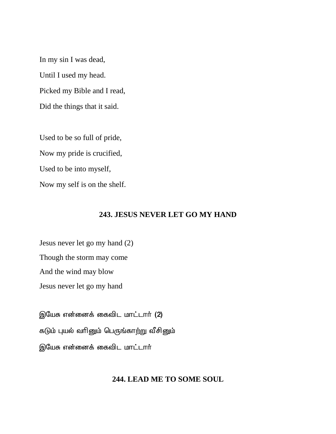In my sin I was dead, Until I used my head. Picked my Bible and I read, Did the things that it said.

Used to be so full of pride, Now my pride is crucified, Used to be into myself, Now my self is on the shelf.

### **243. JESUS NEVER LET GO MY HAND**

Jesus never let go my hand (2) Though the storm may come And the wind may blow Jesus never let go my hand

இயேசு என்னைக் கைவிட மாட்டார்  $(2)$ கடும் புயல் வரினும் பெருங்காற்று வீசினும் இயேசு என்னைக் கைவிட மாட்டார்

# **244. LEAD ME TO SOME SOUL**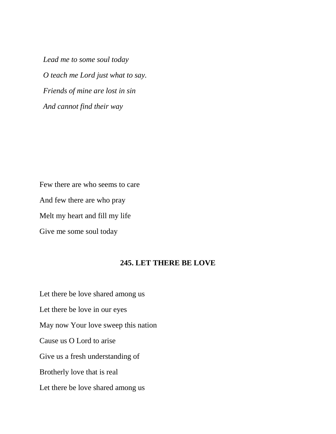*Lead me to some soul today O teach me Lord just what to say. Friends of mine are lost in sin And cannot find their way*

Few there are who seems to care And few there are who pray Melt my heart and fill my life Give me some soul today

### **245. LET THERE BE LOVE**

Let there be love shared among us Let there be love in our eyes May now Your love sweep this nation Cause us O Lord to arise Give us a fresh understanding of Brotherly love that is real Let there be love shared among us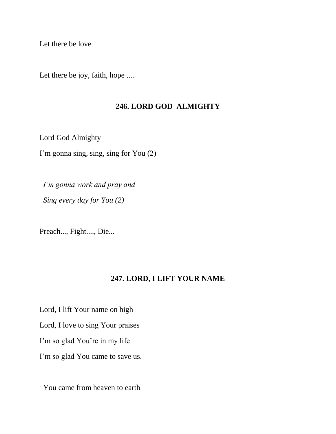Let there be love

Let there be joy, faith, hope ....

# **246. LORD GOD ALMIGHTY**

Lord God Almighty

I'm gonna sing, sing, sing for You (2)

*I'm gonna work and pray and Sing every day for You (2)*

Preach..., Fight...., Die...

# **247. LORD, I LIFT YOUR NAME**

Lord, I lift Your name on high

Lord, I love to sing Your praises

I'm so glad You're in my life

I'm so glad You came to save us.

You came from heaven to earth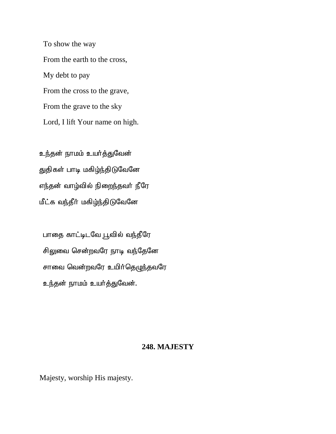To show the way From the earth to the cross, My debt to pay From the cross to the grave, From the grave to the sky Lord, I lift Your name on high.

உந்தன் நாமம் உயர்த்துவேன் துதிகள் பாடி மகிழ்ந்திடுவேனே எந்தன் வாழ்வில் நிறைந்தவர் நீரே மீட்க வந்தீர் மகிழ்ந்திடுவேனே

பாதை காட்டிடவே பூவில் வந்தீரே சிலுவை சென்றவரே நாடி வந்தேனே சாவை வென்றவரே உயிர்தெழுந்தவரே உந்தன் நாமம் உயர்த்துவேன்.

#### **248. MAJESTY**

Majesty, worship His majesty.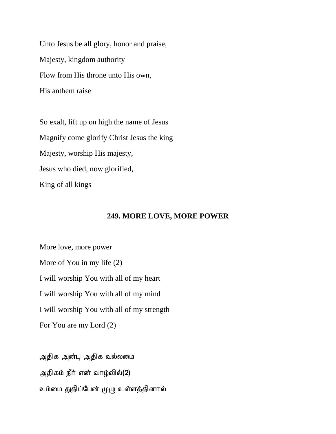Unto Jesus be all glory, honor and praise, Majesty, kingdom authority Flow from His throne unto His own, His anthem raise

So exalt, lift up on high the name of Jesus Magnify come glorify Christ Jesus the king Majesty, worship His majesty, Jesus who died, now glorified, King of all kings

### **249. MORE LOVE, MORE POWER**

More love, more power More of You in my life (2) I will worship You with all of my heart I will worship You with all of my mind I will worship You with all of my strength For You are my Lord (2)

அதிக அன்பு அதிக வல்லமை அதிகம் நீா் என் வாழ்வில்(2) உம்மை துதிப்பேன் முழு உள்ளத்தினால்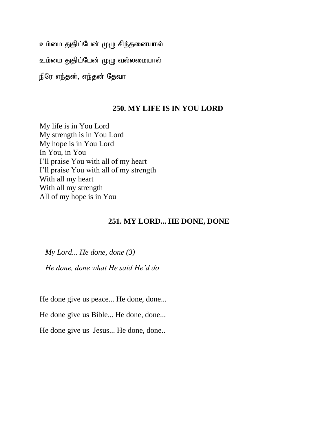உம்மை துதிப்பேன் முழு சிந்தனையால்

உம்மை துதிப்பேன் முழு வல்லமையால்

நீரே எந்தன், எந்தன் தேவா

### **250. MY LIFE IS IN YOU LORD**

My life is in You Lord My strength is in You Lord My hope is in You Lord In You, in You I'll praise You with all of my heart I'll praise You with all of my strength With all my heart With all my strength All of my hope is in You

### **251. MY LORD... HE DONE, DONE**

 *My Lord... He done, done (3)*

 *He done, done what He said He'd do*

He done give us peace... He done, done...

He done give us Bible... He done, done...

He done give us Jesus... He done, done..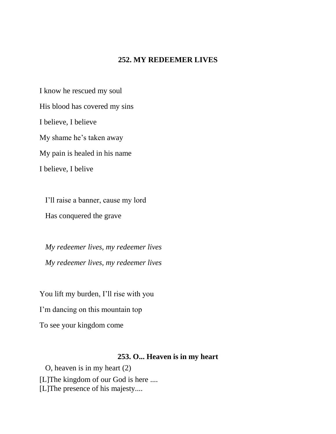#### **252. MY REDEEMER LIVES**

I know he rescued my soul His blood has covered my sins I believe, I believe My shame he's taken away My pain is healed in his name I believe, I belive

 I'll raise a banner, cause my lord Has conquered the grave

 *My redeemer lives, my redeemer lives My redeemer lives, my redeemer lives*

You lift my burden, I'll rise with you

I'm dancing on this mountain top

To see your kingdom come

### **253. O... Heaven is in my heart**

 O, heaven is in my heart (2) [L]The kingdom of our God is here .... [L]The presence of his majesty....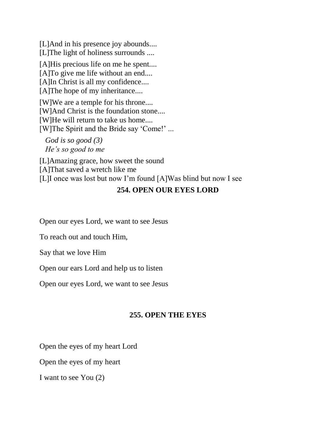[L]And in his presence joy abounds.... [L]The light of holiness surrounds ....

[A]His precious life on me he spent.... [A]To give me life without an end.... [A]In Christ is all my confidence.... [A]The hope of my inheritance....

[W]We are a temple for his throne.... [W]And Christ is the foundation stone.... [W]He will return to take us home.... [W]The Spirit and the Bride say 'Come!' ...

 *God is so good (3) He's so good to me* 

[L]Amazing grace, how sweet the sound [A]That saved a wretch like me [L]I once was lost but now I'm found [A]Was blind but now I see

# **254. OPEN OUR EYES LORD**

Open our eyes Lord, we want to see Jesus

To reach out and touch Him,

Say that we love Him

Open our ears Lord and help us to listen

Open our eyes Lord, we want to see Jesus

# **255. OPEN THE EYES**

Open the eyes of my heart Lord

Open the eyes of my heart

I want to see You (2)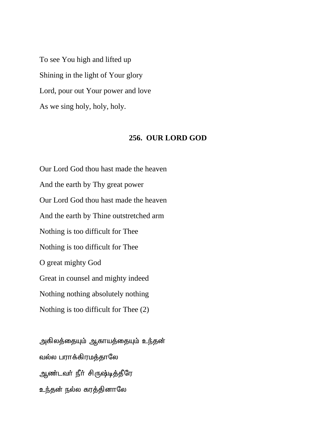To see You high and lifted up Shining in the light of Your glory Lord, pour out Your power and love As we sing holy, holy, holy.

### **256. OUR LORD GOD**

Our Lord God thou hast made the heaven And the earth by Thy great power Our Lord God thou hast made the heaven And the earth by Thine outstretched arm Nothing is too difficult for Thee Nothing is too difficult for Thee O great mighty God Great in counsel and mighty indeed Nothing nothing absolutely nothing Nothing is too difficult for Thee (2)

அகிலத்தையும் ஆகாயத்தையும் உந்தன் வல்ல பராக்கிரமத்தாலே ஆண்டவர் நீர் சிருஷ்டித்தீரே உந்தன் நல்ல கரத்தினாலே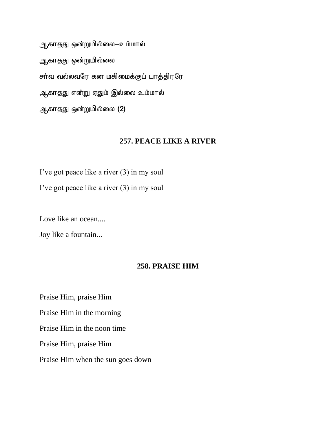ஆகாதது ஒன்றுமில்லை—உம்மால் ஆகாதது ஒன்றுமில்லை சர்வ வல்லவரே கன மகிமைக்குப் பாத்திரரே ஆகாதது என்று ஏதும் இல்லை உம்மால் ஆகாதது ஒன்றுமில்லை (2)

### **257. PEACE LIKE A RIVER**

I've got peace like a river (3) in my soul I've got peace like a river (3) in my soul

Love like an ocean....

Joy like a fountain...

# **258. PRAISE HIM**

Praise Him, praise Him Praise Him in the morning Praise Him in the noon time Praise Him, praise Him Praise Him when the sun goes down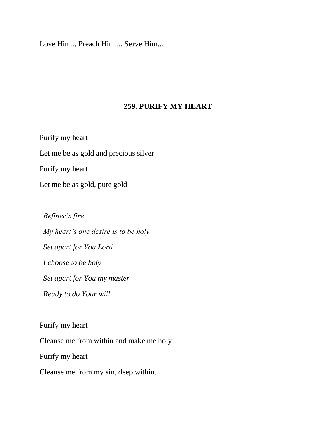Love Him.., Preach Him..., Serve Him...

# **259. PURIFY MY HEART**

Purify my heart Let me be as gold and precious silver Purify my heart Let me be as gold, pure gold

*Refiner's fire My heart's one desire is to be holy Set apart for You Lord I choose to be holy Set apart for You my master Ready to do Your will*

Purify my heart

Cleanse me from within and make me holy

Purify my heart

Cleanse me from my sin, deep within.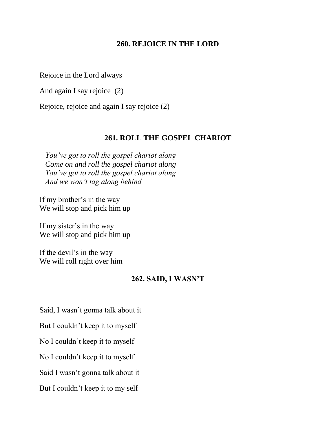### **260. REJOICE IN THE LORD**

Rejoice in the Lord always

And again I say rejoice (2)

Rejoice, rejoice and again I say rejoice (2)

### **261. ROLL THE GOSPEL CHARIOT**

 *You've got to roll the gospel chariot along Come on and roll the gospel chariot along You've got to roll the gospel chariot along And we won't tag along behind*

If my brother's in the way We will stop and pick him up

If my sister's in the way We will stop and pick him up

If the devil's in the way We will roll right over him

### **262. SAID, I WASN'T**

Said, I wasn't gonna talk about it

But I couldn't keep it to myself

No I couldn't keep it to myself

No I couldn't keep it to myself

Said I wasn't gonna talk about it

But I couldn't keep it to my self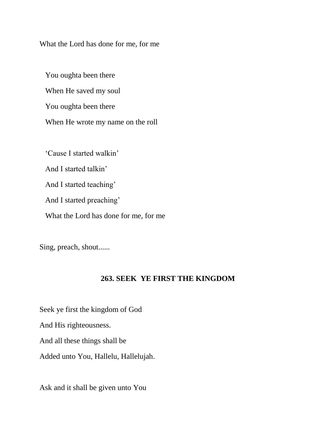What the Lord has done for me, for me

 You oughta been there When He saved my soul You oughta been there When He wrote my name on the roll

 'Cause I started walkin' And I started talkin' And I started teaching' And I started preaching' What the Lord has done for me, for me

Sing, preach, shout......

# **263. SEEK YE FIRST THE KINGDOM**

Seek ye first the kingdom of God And His righteousness. And all these things shall be Added unto You, Hallelu, Hallelujah.

Ask and it shall be given unto You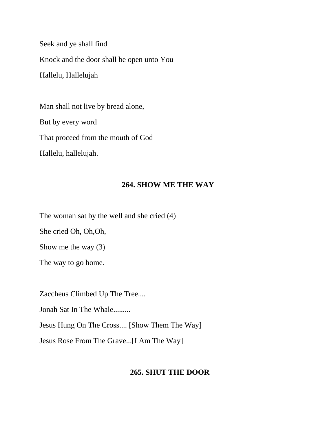Seek and ye shall find Knock and the door shall be open unto You Hallelu, Hallelujah

Man shall not live by bread alone, But by every word That proceed from the mouth of God Hallelu, hallelujah.

# **264. SHOW ME THE WAY**

The woman sat by the well and she cried (4)

She cried Oh, Oh,Oh,

Show me the way (3)

The way to go home.

Zaccheus Climbed Up The Tree....

Jonah Sat In The Whale.........

Jesus Hung On The Cross.... [Show Them The Way]

Jesus Rose From The Grave...[I Am The Way]

# **265. SHUT THE DOOR**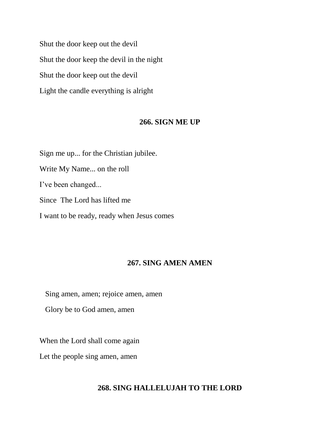Shut the door keep out the devil Shut the door keep the devil in the night Shut the door keep out the devil Light the candle everything is alright

### **266. SIGN ME UP**

Sign me up... for the Christian jubilee. Write My Name... on the roll I've been changed... Since The Lord has lifted me I want to be ready, ready when Jesus comes

# **267. SING AMEN AMEN**

Sing amen, amen; rejoice amen, amen

Glory be to God amen, amen

When the Lord shall come again

Let the people sing amen, amen

# **268. SING HALLELUJAH TO THE LORD**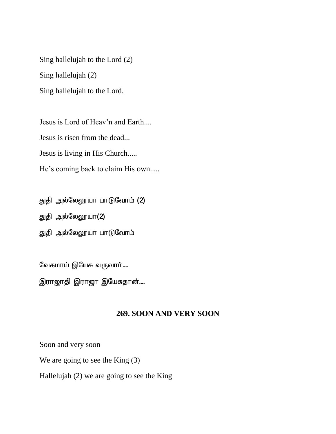Sing hallelujah to the Lord (2) Sing hallelujah (2) Sing hallelujah to the Lord.

Jesus is Lord of Heav'n and Earth.... Jesus is risen from the dead... Jesus is living in His Church..... He's coming back to claim His own.....

துதி அல்லேலூயா பாடுவோம் (2)

துதி அல்லேலூயா(2)

துதி அல்லேலூயா பாடுவோம்

வேகமாய் இயேசு வருவார்....

இராஜாதி இராஜா இயேசுதான்....

# **269. SOON AND VERY SOON**

Soon and very soon

We are going to see the King  $(3)$ 

Hallelujah (2) we are going to see the King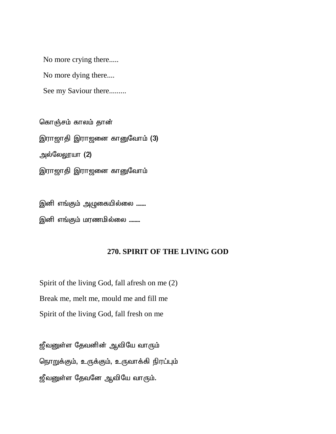No more crying there.....

No more dying there....

See my Saviour there.........

கொஞ்சம் காலம் தான் இராஜாதி இராஜனை கானுவோம் (3) அல்லேலூயா $(2)$ இராஜாதி இராஜனை கானுவோம்

இனி எங்கும் அழுகையில்லை ....... இனி எங்கும் மரணமில்லை ........

# **270. SPIRIT OF THE LIVING GOD**

Spirit of the living God, fall afresh on me (2) Break me, melt me, mould me and fill me Spirit of the living God, fall fresh on me

ஜீவனுள்ள தேவனின் ஆவியே வாரும் நொறுக்கும், உருக்கும், உருவாக்கி நிரப்பும் ஜீவனுள்ள தேவனே ஆவியே வாரும்.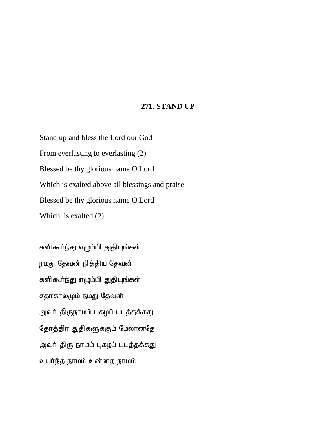### **271. STAND UP**

Stand up and bless the Lord our God From everlasting to everlasting (2) Blessed be thy glorious name O Lord Which is exalted above all blessings and praise Blessed be thy glorious name O Lord Which is exalted (2)

களிகூர்ந்து எழும்பி துதியுங்கள் நமது தேவன் நித்திய தேவன் களிகூர்ந்து எழும்பி துதியுங்கள் சதாகாலமும் நமது தேவன் அவர் திருநாமம் புகழப் படத்தக்கது தோத்திர துதிகளுக்கும் மேலானதே அவர் திரு நாமம் புகழப் படத்தக்கது உயர்ந்த நாமம் உன்னத நாமம்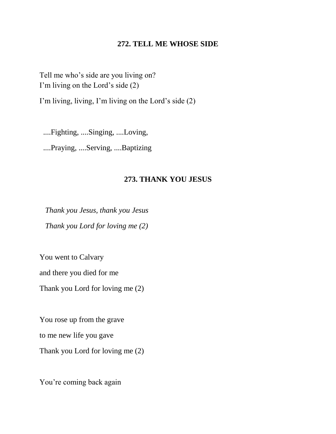#### **272. TELL ME WHOSE SIDE**

Tell me who's side are you living on? I'm living on the Lord's side (2)

I'm living, living, I'm living on the Lord's side (2)

....Fighting, ....Singing, ....Loving,

....Praying, ....Serving, ....Baptizing

### **273. THANK YOU JESUS**

 *Thank you Jesus, thank you Jesus Thank you Lord for loving me (2)*

You went to Calvary

and there you died for me

Thank you Lord for loving me (2)

You rose up from the grave

to me new life you gave

Thank you Lord for loving me (2)

You're coming back again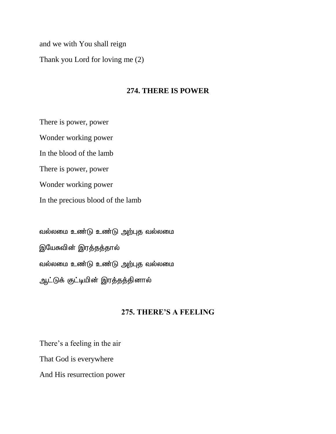and we with You shall reign

Thank you Lord for loving me (2)

# **274. THERE IS POWER**

There is power, power

Wonder working power

In the blood of the lamb

There is power, power

Wonder working power

In the precious blood of the lamb

வல்லமை உண்டு உண்டு அற்புத வல்லமை இயேசுவின் இரத்தத்தால் வல்லமை உண்டு உண்டு அற்புத வல்லமை ஆட்டுக் குட்டியின் இரத்தத்தினால்

# **275. THERE'S A FEELING**

There's a feeling in the air That God is everywhere And His resurrection power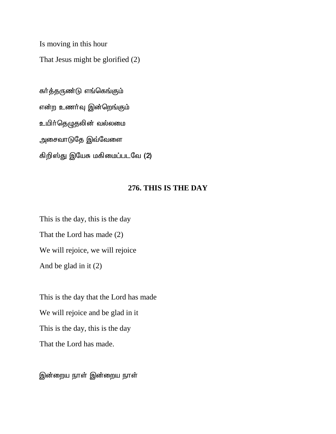Is moving in this hour That Jesus might be glorified (2)

கர்த்தருண்டு எங்கெங்கும் என்ற உணர்வு இன்றெங்கும் உயிா்தெழுதலின் வல்லமை அசைவாடுதே இவ்வேளை கிறிஸ்து இயேசு மகிமைப்படவே (2)

# **276. THIS IS THE DAY**

This is the day, this is the day That the Lord has made (2) We will rejoice, we will rejoice And be glad in it (2)

This is the day that the Lord has made We will rejoice and be glad in it This is the day, this is the day That the Lord has made.

இன்றைய நாள் இன்றைய நாள்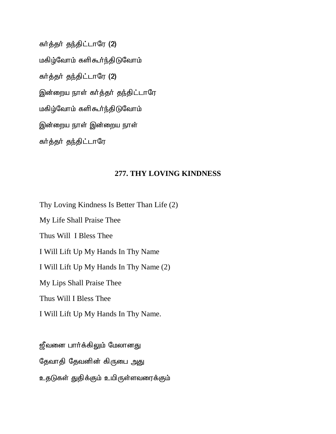கர்த்தர் தந்திட்டாரே (2) மகிழ்வோம் களிகூர்ந்திடுவோம் கர்த்தர் தந்திட்டாரே (2) இன்றைய நாள் கர்த்தர் தந்திட்டாரே மகிழ்வோம் களிகூர்ந்திடுவோம் இன்றைய நாள் இன்றைய நாள் கர்த்தர் தந்திட்டாரே

#### **277. THY LOVING KINDNESS**

Thy Loving Kindness Is Better Than Life (2)

My Life Shall Praise Thee

Thus Will I Bless Thee

I Will Lift Up My Hands In Thy Name

I Will Lift Up My Hands In Thy Name (2)

My Lips Shall Praise Thee

Thus Will I Bless Thee

I Will Lift Up My Hands In Thy Name.

ஜீவனை பார்க்கிலும் மேலானது தேவாதி தேவனின் கிருபை அது உதடுகள் துதிக்கும் உயிருள்ளவரைக்கும்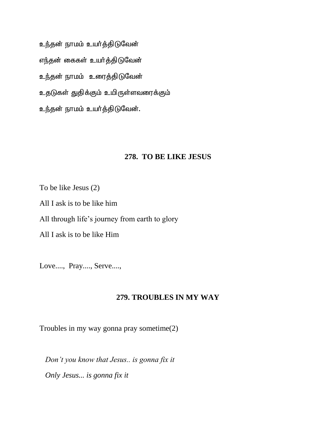உந்தன் நாமம் உயர்த்திடுவேன் எந்தன் கைகள் உயர்த்திடுவேன் உந்தன் நாமம் உரைத்திடுவேன் உதடுகள் துதிக்கும் உயிருள்ளவரைக்கும் உந்தன் நாமம் உயர்த்திடுவேன்.

### **278. TO BE LIKE JESUS**

To be like Jesus (2) All I ask is to be like him All through life's journey from earth to glory All I ask is to be like Him

Love...., Pray...., Serve....,

# **279. TROUBLES IN MY WAY**

Troubles in my way gonna pray sometime(2)

 *Don't you know that Jesus.. is gonna fix it Only Jesus... is gonna fix it*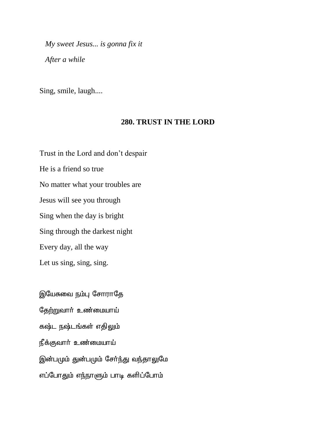*My sweet Jesus... is gonna fix it After a while*

Sing, smile, laugh....

# **280. TRUST IN THE LORD**

Trust in the Lord and don't despair He is a friend so true No matter what your troubles are Jesus will see you through Sing when the day is bright Sing through the darkest night Every day, all the way Let us sing, sing, sing.

இயேசுவை நம்பு சோராதே தேற்றுவாா் உண்மையாய் கஷ்ட நஷ்டங்கள் எதிலும் நீக்குவார் உண்மையாய் இன்பமும் துன்பமும் சேர்ந்து வந்தாலுமே எப்போதும் எந்நாளும் பாடி களிப்போம்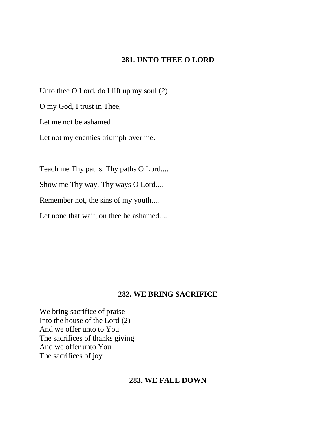### **281. UNTO THEE O LORD**

Unto thee O Lord, do I lift up my soul (2)

O my God, I trust in Thee,

Let me not be ashamed

Let not my enemies triumph over me.

Teach me Thy paths, Thy paths O Lord....

Show me Thy way, Thy ways O Lord....

Remember not, the sins of my youth....

Let none that wait, on thee be ashamed....

# **282. WE BRING SACRIFICE**

We bring sacrifice of praise Into the house of the Lord (2) And we offer unto to You The sacrifices of thanks giving And we offer unto You The sacrifices of joy

### **283. WE FALL DOWN**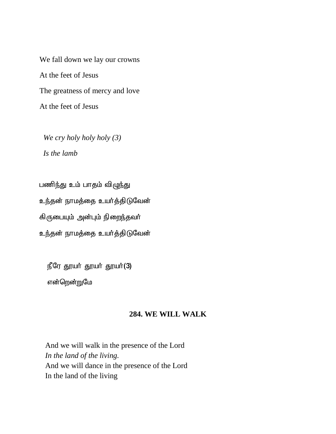We fall down we lay our crowns At the feet of Jesus The greatness of mercy and love At the feet of Jesus

 *We cry holy holy holy (3) Is the lamb*

பணிந்து உம் பாதம் விழுந்து உந்தன் நாமத்தை உயர்த்திடுவேன் கிருடையும் அன்பும் நிறைந்தவர் உந்தன் நாமத்தை உயர்த்திடுவேன்

 $f$ ரீரே ö யா் ö யா் $(3)$ 

என்றென்றுமே

# **284. WE WILL WALK**

 And we will walk in the presence of the Lord *In the land of the living.*  And we will dance in the presence of the Lord In the land of the living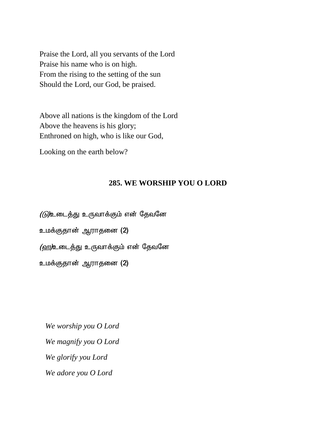Praise the Lord, all you servants of the Lord Praise his name who is on high. From the rising to the setting of the sun Should the Lord, our God, be praised.

Above all nations is the kingdom of the Lord Above the heavens is his glory; Enthroned on high, who is like our God,

Looking on the earth below?

# **285. WE WORSHIP YOU O LORD**

(டு)உடைத்து உருவாக்கும் என் தேவனே உமக்குதான் ஆராதனை (2) (ஹ)உடைத்து உருவாக்கும் என் தேவனே உமக்குதான் ஆராதனை (2)

 *We worship you O Lord We magnify you O Lord We glorify you Lord We adore you O Lord*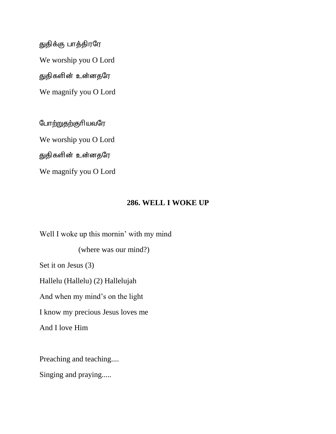துதிக்கு பாத்திரரே We worship you O Lord துதிகளின் உன்னதரே We magnify you O Lord

போற்றுதற்குரியவரே We worship you O Lord துதிகளின் உன்னதரே We magnify you O Lord

# **286. WELL I WOKE UP**

Well I woke up this mornin' with my mind (where was our mind?) Set it on Jesus (3) Hallelu (Hallelu) (2) Hallelujah And when my mind's on the light I know my precious Jesus loves me And I love Him

Preaching and teaching....

Singing and praying.....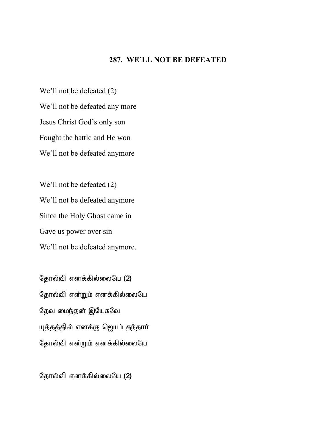# **287. WE'LL NOT BE DEFEATED**

We'll not be defeated (2) We'll not be defeated any more Jesus Christ God's only son Fought the battle and He won We'll not be defeated anymore

We'll not be defeated (2) We'll not be defeated anymore Since the Holy Ghost came in Gave us power over sin We'll not be defeated anymore.

தோல்வி எனக்கில்லையே $(2)$ தோல்வி என்றும் எனக்கில்லையே தேவ மைந்தன் இயேசுவே யுத்தத்தில் எனக்கு ஜெயம் தந்தார் தோல்வி என்றும் எனக்கில்லையே

தோல்வி எனக்கில்லையே $(2)$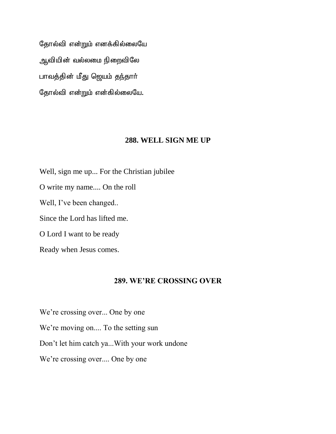தோல்வி என்றும் எனக்கில்லையே ஆவியின் வல்லமை நிறைவிலே பாவத்தின் மீது ஜெயம் தந்தார் தோல்வி என்றும் என்கில்லையே.

### **288. WELL SIGN ME UP**

Well, sign me up... For the Christian jubilee O write my name.... On the roll Well, I've been changed.. Since the Lord has lifted me. O Lord I want to be ready Ready when Jesus comes.

# **289. WE'RE CROSSING OVER**

We're crossing over... One by one We're moving on.... To the setting sun Don't let him catch ya...With your work undone We're crossing over.... One by one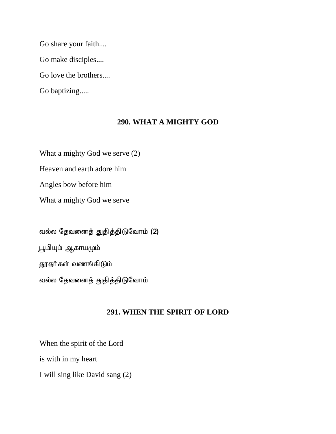Go share your faith.... Go make disciples.... Go love the brothers.... Go baptizing.....

# **290. WHAT A MIGHTY GOD**

What a mighty God we serve (2)

Heaven and earth adore him

Angles bow before him

What a mighty God we serve

வல்ல தேவனைத் துதித்திடுவோம் (2) பூமியும் ஆகாயமும் தூதர்கள் வணங்கிடும் வல்ல தேவனைத் துதித்திடுவோம்

# **291. WHEN THE SPIRIT OF LORD**

When the spirit of the Lord is with in my heart I will sing like David sang (2)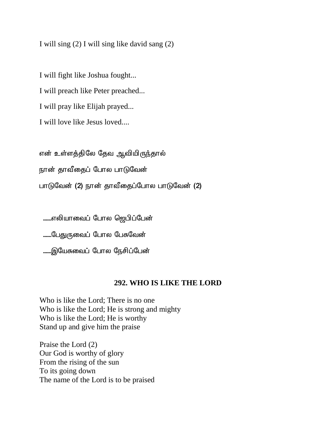I will sing (2) I will sing like david sang (2)

I will fight like Joshua fought... I will preach like Peter preached... I will pray like Elijah prayed... I will love like Jesus loved....

என் உள்ளத்திலே தேவ ஆவியிருந்தால்

நான் தாவீதைப் போல பாடுவேன்

பாடுவேன் (2) நான் தாவீதைப்போல பாடுவேன் (2)

......எலியாவைப் போல ஜெபிப்பேன்

......பேதுருவைப் போல பேசுவேன்

......இயேசுவைப் போல நேசிப்பேன்

### **292. WHO IS LIKE THE LORD**

Who is like the Lord; There is no one Who is like the Lord; He is strong and mighty Who is like the Lord; He is worthy Stand up and give him the praise

Praise the Lord (2) Our God is worthy of glory From the rising of the sun To its going down The name of the Lord is to be praised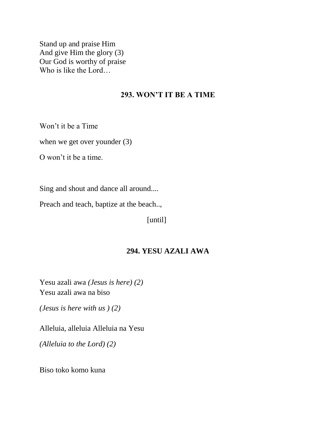Stand up and praise Him And give Him the glory (3) Our God is worthy of praise Who is like the Lord…

# **293. WON'T IT BE A TIME**

Won't it be a Time

when we get over younder (3)

O won't it be a time.

Sing and shout and dance all around....

Preach and teach, baptize at the beach..,

[until]

# **294. YESU AZALI AWA**

Yesu azali awa *(Jesus is here) (2)* Yesu azali awa na biso

*(Jesus is here with us ) (2)*

Alleluia, alleluia Alleluia na Yesu

*(Alleluia to the Lord) (2)*

Biso toko komo kuna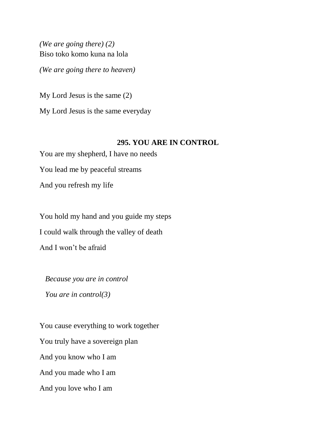*(We are going there) (2)* Biso toko komo kuna na lola

*(We are going there to heaven)*

My Lord Jesus is the same (2)

My Lord Jesus is the same everyday

### **295. YOU ARE IN CONTROL**

You are my shepherd, I have no needs You lead me by peaceful streams And you refresh my life

You hold my hand and you guide my steps I could walk through the valley of death And I won't be afraid

 *Because you are in control You are in control(3)*

You cause everything to work together You truly have a sovereign plan And you know who I am And you made who I am And you love who I am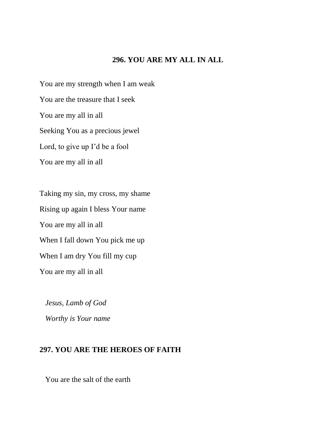### **296. YOU ARE MY ALL IN ALL**

You are my strength when I am weak You are the treasure that I seek You are my all in all Seeking You as a precious jewel Lord, to give up I'd be a fool You are my all in all

Taking my sin, my cross, my shame Rising up again I bless Your name You are my all in all When I fall down You pick me up When I am dry You fill my cup You are my all in all

 *Jesus, Lamb of God Worthy is Your name*

# **297. YOU ARE THE HEROES OF FAITH**

You are the salt of the earth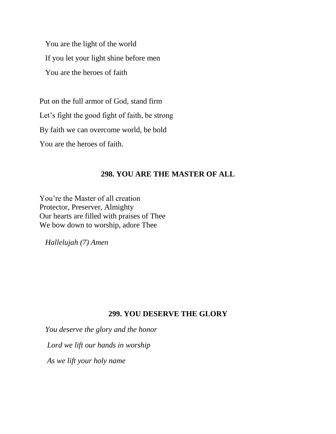You are the light of the world If you let your light shine before men You are the heroes of faith

Put on the full armor of God, stand firm Let's fight the good fight of faith, be strong By faith we can overcome world, be bold You are the heroes of faith.

# **298. YOU ARE THE MASTER OF ALL**

You're the Master of all creation Protector, Preserver, Almighty Our hearts are filled with praises of Thee We bow down to worship, adore Thee

*Hallelujah (7) Amen*

### **299. YOU DESERVE THE GLORY**

*You deserve the glory and the honor*

 *Lord we lift our hands in worship*

 *As we lift your holy name*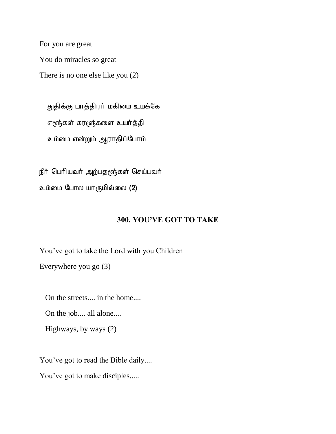For you are great

You do miracles so great

There is no one else like you (2)

துதிக்கு பாத்திரர் மகிமை உமக்கே எரூ்கள் கரளூ்களை உயர்த்தி உம்மை என்றும் ஆராதிப்போம்

நீர் பெரியவர் அற்பத $\epsilon$ ள்,கள் செய்பவர் உம்மை போல யாருமில்லை (2)

### **300. YOU'VE GOT TO TAKE**

You've got to take the Lord with you Children

Everywhere you go (3)

On the streets.... in the home....

On the job.... all alone....

Highways, by ways (2)

You've got to read the Bible daily....

You've got to make disciples.....